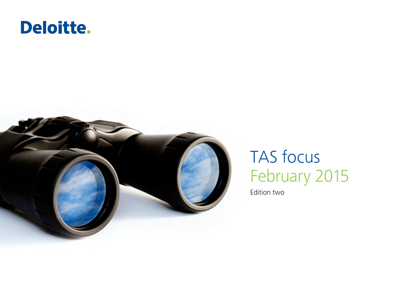# Deloitte.



# TAS focus February 2015

Edition two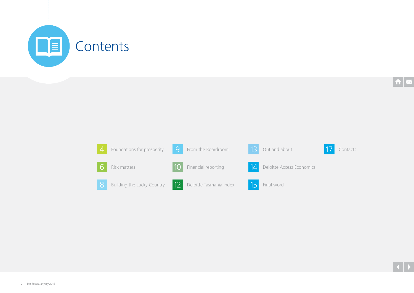

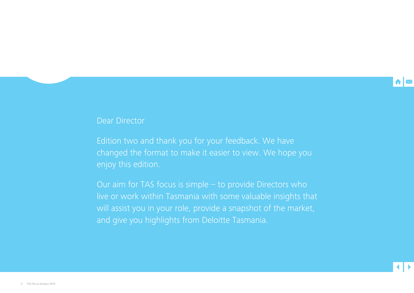

## Dear Director

Edition two and thank you for your feedback. We have changed the format to make it easier to view. We hope you enjoy this edition.

Our aim for TAS focus is simple – to provide Directors who live or work within Tasmania with some valuable insights that will assist you in your role, provide a snapshot of the market, and give you highlights from Deloitte Tasmania.

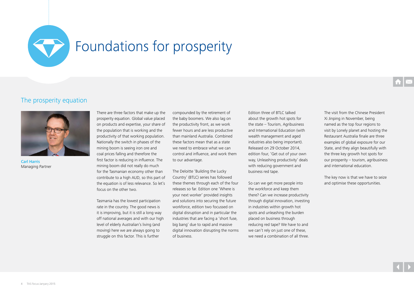<span id="page-3-0"></span>

# Foundations for prosperity

## The prosperity equation



Carl Harris Managing Partner

There are three factors that make up the prosperity equation. Global value placed on products and expertise, your share of the population that is working and the productivity of that working population. Nationally the switch in phases of the mining boom is seeing iron ore and coal prices falling and therefore the first factor is reducing in influence. The mining boom did not really do much for the Tasmanian economy other than contribute to a high AUD, so this part of the equation is of less relevance. So let's focus on the other two.

Tasmania has the lowest participation rate in the country. The good news is it is improving, but it is still a long way off national averages and with our high level of elderly Australian's living (and moving) here we are always going to struggle on this factor. This is further

compounded by the retirement of the baby boomers. We also lag on the productivity front, as we work fewer hours and are less productive than mainland Australia. Combined these factors mean that as a state we need to embrace what we can control and influence, and work them to our advantage.

The Deloitte 'Building the Lucky Country' (BTLC) series has followed these themes through each of the four releases so far. Edition one 'Where is your next worker' provided insights and solutions into securing the future workforce, edition two focussed on digital disruption and in particular the industries that are facing a 'short fuse, big bang' due to rapid and massive digital innovation disrupting the norms of business.

Edition three of BTLC talked about the growth hot spots for the state – Tourism, Agribusiness and International Education (with wealth management and aged industries also being important). Released on 29 October 2014, edition four, 'Get out of your own way, Unleashing productivity' deals with reducing government and business red tape.

So can we get more people into the workforce and keep them there? Can we increase productivity through digital innovation, investing in industries within growth hot spots and unleashing the burden placed on business through reducing red tape? We have to and we can't rely on just one of these, we need a combination of all three.

The visit from the Chinese President Xi Jinping in November, being named as the top four regions to visit by Lonely planet and hosting the Restaurant Australia finale are three examples of global exposure for our State, and they align beautifully with the three key growth hot spots for our prosperity – tourism, agribusiness and international education.

The key now is that we have to seize and optimise these opportunities.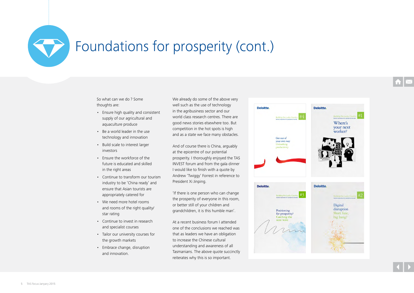# Foundations for prosperity (cont.)

So what can we do ? Some thoughts are:

- Ensure high quality and consistent supply of our agricultural and aquaculture produce
- Be a world leader in the use technology and innovation
- Build scale to interest larger investors
- Ensure the workforce of the future is educated and skilled in the right areas
- Continue to transform our tourism industry to be 'China ready' and ensure that Asian tourists are appropriately catered for
- We need more hotel rooms and rooms of the right quality/ star rating
- Continue to invest in research and specialist courses
- Tailor our university courses for the growth markets
- Embrace change, disruption and innovation.

We already do some of the above very well such as the use of technology in the agribusiness sector and our world class research centres. There are good news stories elsewhere too. But competition in the hot spots is high and as a state we face many obstacles.

And of course there is China, arguably at the epicentre of our potential prosperity. I thoroughly enjoyed the TAS INVEST forum and from the gala dinner I would like to finish with a quote by Andrew 'Twiggy' Forrest in reference to President Xi Jinping.

'If there is one person who can change the prosperity of everyone in this room, or better still of your children and grandchildren, it is this humble man'.

At a recent business forum I attended one of the conclusions we reached was that as leaders we have an obligation to increase the Chinese cultural understanding and awareness of all Tasmanians. The above quote succinctly reiterates why this is so important.

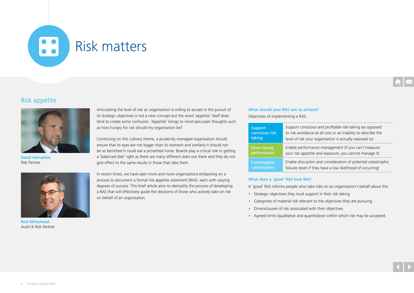## <span id="page-5-0"></span>B Risk matters

## Risk appetite



David Harradine Risk Partner

Articulating the level of risk an organisation is willing to accept in the pursuit of its strategic objectives is not a new concept but the word 'appetite' itself does tend to create some confusion. 'Appetite' brings to mind epicurean thoughts such as how hungry for risk should my organisation be?

Continuing on this culinary theme, a prudently managed organisation should ensure that its eyes are not bigger than its stomach and similarly it should not be so famished it could eat a proverbial horse. Boards play a critical role in getting a 'balanced diet' right as there are many different diets out there and they do not give effect to the same results in those that take them.

Rod Whitehead Audit & Risk Partner

In recent times, we have seen more and more organisations embarking on a process to document a formal risk appetite statement (RAS), each with varying degrees of success. This brief article aims to demystify the process of developing a RAS that will effectively guide the decisions of those who actively take on risk on behalf of an organisation.

## What should your RAS aim to achieve?

Objectives of implementing a RAS:

| <b>Support</b>      | Support conscious and profitable risk-taking (as opposed      |
|---------------------|---------------------------------------------------------------|
| conscious risk      | to risk avoidance at all cost or an inability to describe the |
| taking              | level of risk your organisation is actually exposed to)       |
| <b>Drive strong</b> | Enable performance management (if you can't measure           |
| performance         | your risk appetite and exposure, you cannot manage it)        |
| Contemplate         | Enable discussion and consideration of potential catastrophic |
| catastrophes        | failures (even if they have a low likelihood of occurring)    |

## What does a 'good' RAS look like?

- A 'good' RAS informs people who take risks on an organisation's behalf about the:
- Strategic objectives they must support in their risk taking
- Categories of material risk relevant to the objectives they are pursuing
- Drivers/causes of risk associated with their objectives
- Agreed limits (qualitative and quantitative) within which risk may be accepted.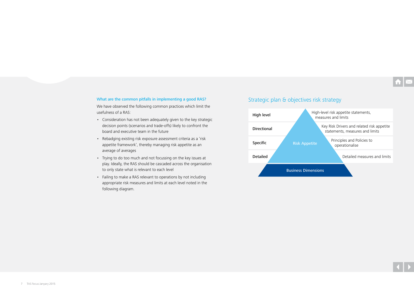## What are the common pitfalls in implementing a good RAS?

We have observed the following common practices which limit the usefulness of a RAS:

- Consideration has not been adequately given to the key strategic decision points (scenarios and trade-offs) likely to confront the board and executive team in the future
- Rebadging existing risk exposure assessment criteria as a 'risk appetite framework', thereby managing risk appetite as an average of averages
- Trying to do too much and not focussing on the key issues at play. Ideally, the RAS should be cascaded across the organisation to only state what is relevant to each level
- Failing to make a RAS relevant to operations by not including appropriate risk measures and limits at each level noted in the following diagram.

## Strategic plan & objectives risk strategy

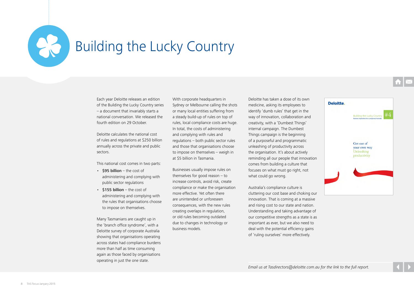<span id="page-7-0"></span>

# Building the Lucky Country

Each year Deloitte releases an edition of the Building the Lucky Country series – a document that invariably starts a national conversation. We released the fourth edition on 29 October.

Deloitte calculates the national cost of rules and regulations at \$250 billion annually across the private and public sectors.

This national cost comes in two parts:

- \$95 billion the cost of administering and complying with public sector regulations
- $\cdot$  \$155 billion the cost of administering and complying with the rules that organisations choose to impose on themselves.

Many Tasmanians are caught up in the 'branch office syndrome', with a Deloitte survey of corporate Australia showing that organisations operating across states had compliance burdens more than half as time consuming again as those faced by organisations operating in just the one state.

With corporate headquarters in Sydney or Melbourne calling the shots or many local entities suffering from a steady build-up of rules on top of rules, local compliance costs are huge. In total, the costs of administering and complying with rules and regulations – both public sector rules and those that organisations choose to impose on themselves – weigh in at \$5 billion in Tasmania.

Businesses usually impose rules on themselves for good reason – to increase controls, avoid risk, create compliance or make the organisation more effective. Yet often there are unintended or unforeseen consequences, with the new rules creating overlaps in regulation, or old rules becoming outdated due to changes in technology or business models.

Deloitte has taken a dose of its own medicine, asking its employees to identify 'dumb rules' that get in the way of innovation, collaboration and creativity, with a 'Dumbest Things' internal campaign. The Dumbest Things campaign is the beginning of a purposeful and programmatic unleashing of productivity across the organisation. It's about actively reminding all our people that innovation comes from building a culture that focuses on what must go right, not what could go wrong.

Australia's compliance culture is cluttering our cost base and choking our innovation. That is coming at a massive and rising cost to our state and nation. Understanding and taking advantage of our competitive strengths as a state is as important as ever, but we also need to deal with the potential efficiency gains of 'ruling ourselves' more effectively.

Deloitte.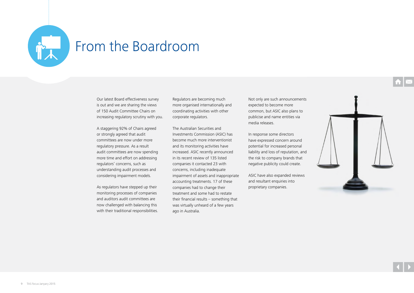<span id="page-8-0"></span>

## From the Boardroom

Our latest Board effectiveness survey is out and we are sharing the views of 150 Audit Committee Chairs on increasing regulatory scrutiny with you.

A staggering 92% of Chairs agreed or strongly agreed that audit committees are now under more regulatory pressure. As a result audit committees are now spending more time and effort on addressing regulators' concerns, such as understanding audit processes and considering impairment models.

As regulators have stepped up their monitoring processes of companies and auditors audit committees are now challenged with balancing this with their traditional responsibilities. Regulators are becoming much more organised internationally and coordinating activities with other corporate regulators.

The Australian Securities and Investments Commission (ASIC) has become much more interventionist and its monitoring activities have increased. ASIC recently announced in its recent review of 135 listed companies it contacted 23 with concerns, including inadequate impairment of assets and inappropriate accounting treatments. 17 of these companies had to change their treatment and some had to restate their financial results – something that was virtually unheard of a few years ago in Australia.

Not only are such announcements expected to become more common, but ASIC also plans to publicise and name entities via media releases.

In response some directors have expressed concern around potential for increased personal liability and loss of reputation, and the risk to company brands that negative publicity could create.

ASIC have also expanded reviews and resultant enquiries into proprietary companies.

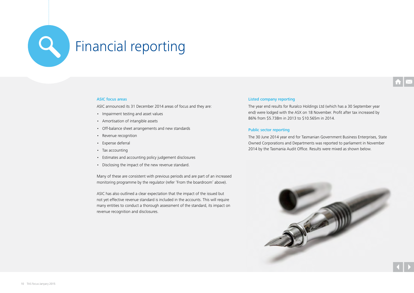<span id="page-9-0"></span>

## ASIC focus areas

ASIC announced its 31 December 2014 areas of focus and they are:

- Impairment testing and asset values
- Amortisation of intangible assets
- Off-balance sheet arrangements and new standards
- Revenue recognition
- Expense deferral
- Tax accounting
- Estimates and accounting policy judgement disclosures
- Disclosing the impact of the new revenue standard.

Many of these are consistent with previous periods and are part of an increased monitoring programme by the regulator (refer 'From the boardroom' above).

ASIC has also outlined a clear expectation that the impact of the issued but not yet effective revenue standard is included in the accounts. This will require many entities to conduct a thorough assessment of the standard, its impact on revenue recognition and disclosures.

## Listed company reporting

The year end results for Ruralco Holdings Ltd (which has a 30 September year end) were lodged with the ASX on 18 November. Profit after tax increased by 86% from \$5.738m in 2013 to \$10.565m in 2014.

## Public sector reporting

The 30 June 2014 year end for Tasmanian Government Business Enterprises, State Owned Corporations and Departments was reported to parliament in November 2014 by the Tasmania Audit Office. Results were mixed as shown below.

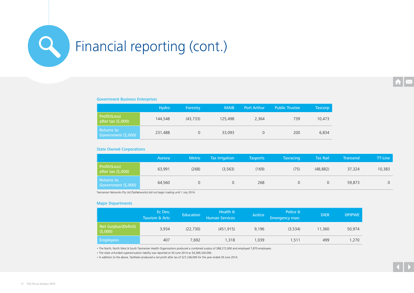

# Financial reporting (cont.)

## Government Business Enterprises

|                                      | <b>Hydro</b> | Forestry  | <b>MAIB</b> | <b>Port Arthur</b> | <b>Public Trustee</b> | <b>Tascorp</b> |
|--------------------------------------|--------------|-----------|-------------|--------------------|-----------------------|----------------|
| Profit/(Loss)<br>after tax $(5,000)$ | 144,548      | (43, 733) | 125,498     | 2,364              | 739                   | 10,473         |
| Returns to<br>Government (\$,000)    | 231,488      | 0         | 33,093      |                    | 200                   | 6,834          |

## State Owned Corporations

|                                      | Aurora | <b>Metro</b> | <b>Tas Irrigation</b> | <b>Tasports</b> | <b>Tasracing</b> | <b>Tas Rail</b> | <b>Transend</b> | TT-Line |
|--------------------------------------|--------|--------------|-----------------------|-----------------|------------------|-----------------|-----------------|---------|
| Profit/(Loss)<br>after tax $(5,000)$ | 63,991 | (268)        | (3, 563)              | (169)           | (75)             | (48, 882)       | 37,324          | 10,383  |
| Returns to<br>Government (\$,000)    | 64,560 |              |                       | 268             |                  |                 | 59,873          |         |

Tasmanian Networks Pty Ltd (TasNetworks) did not begin trading until 1 July 2014.

## Major Departments

|                                  | Ec Dev,<br><b>Tourism &amp; Arts</b> | <b>Education</b> | Health &<br><b>Human Services</b> | <b>Justice</b> | Police &<br>Emergency man. | <b>DIER</b> | <b>DPIPWE</b> |
|----------------------------------|--------------------------------------|------------------|-----------------------------------|----------------|----------------------------|-------------|---------------|
| Net Surplus/(Deficit)<br>(5,000) | 3,934                                | (22, 730)        | (451, 915)                        | 9,196          | (3,534)                    | 11,360      | 50,974        |
| <b>Employees</b>                 | 407                                  | 7.692            | 1,318                             | 1,039          | 1,511                      | 499         | 1,270         |

• The North, North West & South Tasmanian Health Organisations produced a combined surplus of \$88,272,000 and employed 7,870 employees.

• The state unfunded superannuation liability was reported at 30 June 2014 as \$4,369,326,000.

• In addition to the above, TasWater produced a net profit after tax of \$27,236,000 for the year ended 30 June 2014.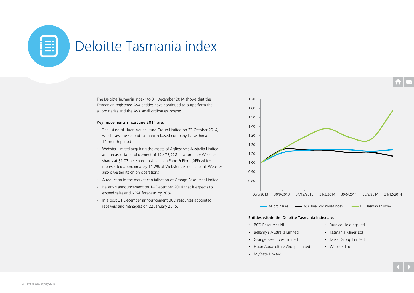# <span id="page-11-0"></span>Deloitte Tasmania index

The Deloitte Tasmania Index\* to 31 December 2014 shows that the Tasmanian registered ASX entities have continued to outperform the all ordinaries and the ASX small ordinaries indexes.

## Key movements since June 2014 are:

- The listing of Huon Aquaculture Group Limited on 23 October 2014, which saw the second Tasmanian based company list within a 12 month period
- Webster Limited acquiring the assets of AgReserves Australia Limited and an associated placement of 17,475,728 new ordinary Webster shares at \$1.03 per share to Australian Food & Fibre (AFF) which represented approximately 11.2% of Webster's issued capital. Webster also divested its onion operations
- A reduction in the market capitalisation of Grange Resources Limited
- Bellany's announcement on 14 December 2014 that it expects to exceed sales and NPAT forecasts by 20%
- In a post 31 December announcement BCD resources appointed receivers and managers on 22 January 2015.



## Entities within the Deloitte Tasmania Index are:

- BCD Resources NL
- Bellamy's Australia Limited
- Grange Resources Limited
- Huon Aquaculture Group Limited
- MyState Limited
- Ruralco Holdings Ltd
- Tasmania Mines Ltd
- Tassal Group Limited
- Webster Ltd.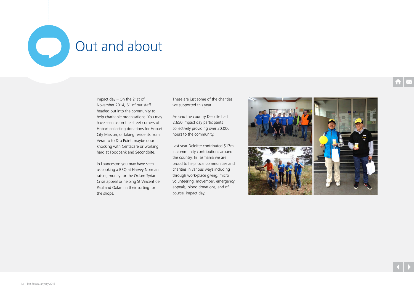<span id="page-12-0"></span>

# Out and about

Impact day – On the 21st of November 2014, 61 of our staff headed out into the community to help charitable organisations. You may have seen us on the street corners of Hobart collecting donations for Hobart City Mission, or taking residents from Veranto to Dru Point, maybe door knocking with Centacare or working hard at Foodbank and Secondbite.

In Launceston you may have seen us cooking a BBQ at Harvey Norman raising money for the Oxfam Syrian Crisis appeal or helping St Vincent de Paul and Oxfam in their sorting for the shops.

These are just some of the charities we supported this year.

Around the country Deloitte had 2,650 impact day participants collectively providing over 20,000 hours to the community.

Last year Deloitte contributed \$17m in community contributions around the country. In Tasmania we are proud to help local communities and charities in various ways including through work-place giving, micro volunteering, movember, emergency appeals, blood donations, and of course, impact day.

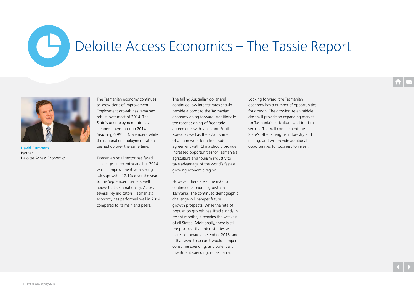# Deloitte Access Economics – The Tassie Report



David Rumbens Partner Deloitte Access Economics

<span id="page-13-0"></span> $\overline{\mathbf{C}}$ 

The Tasmanian economy continues to show signs of improvement. Employment growth has remained robust over most of 2014. The State's unemployment rate has stepped down through 2014 (reaching 6.9% in November), while the national unemployment rate has pushed up over the same time.

Tasmania's retail sector has faced challenges in recent years, but 2014 was an improvement with strong sales growth of 7.1% (over the year to the September quarter), well above that seen nationally. Across several key indicators, Tasmania's economy has performed well in 2014 compared to its mainland peers.

The falling Australian dollar and continued low interest rates should provide a boost to the Tasmanian economy going forward. Additionally, the recent signing of free trade agreements with Japan and South Korea, as well as the establishment of a framework for a free trade agreement with China should provide increased opportunities for Tasmania's agriculture and tourism industry to take advantage of the world's fastest growing economic region.

However, there are some risks to continued economic growth in Tasmania. The continued demographic challenge will hamper future growth prospects. While the rate of population growth has lifted slightly in recent months, it remains the weakest of all States. Additionally, there is still the prospect that interest rates will increase towards the end of 2015, and if that were to occur it would dampen consumer spending, and potentially investment spending, in Tasmania.

Looking forward, the Tasmanian economy has a number of opportunities for growth. The growing Asian middle class will provide an expanding market for Tasmania's agricultural and tourism sectors. This will complement the State's other strengths in forestry and mining, and will provide additional opportunities for business to invest.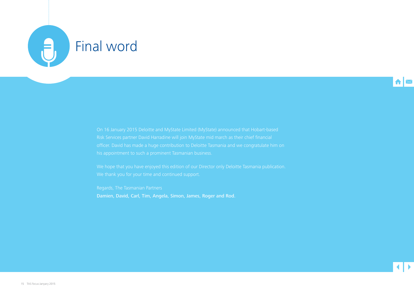<span id="page-14-0"></span>



Damien, David, Carl, Tim, Angela, Simon, James, Roger and Rod.

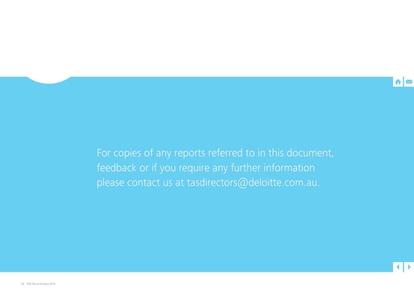

For copies of any reports referred to in this document, feedback or if you require any further information please contact us at tasdirectors@deloitte.com.au.

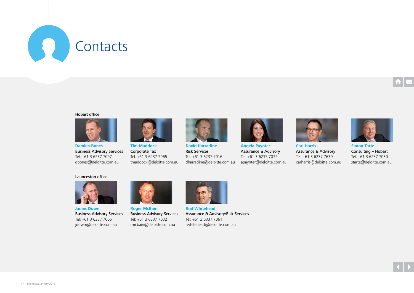<span id="page-16-0"></span>

## Hobart office



**Damien Bones** Business Advisory Services Tel: +61 3 6237 7097 dbones@deloitte.com.au



**Tim Maddock** Corporate Tax Tel: +61 3 6237 7065 tmaddock@deloitte.com.au



**David Harradine** Risk Services Tel: +61 3 6237 7016 dharradine@deloitte.com.au



**Angela Paynter** Assurance & Advisory Tel: +61 3 6237 7072 apaynter@deloitte.com.au



Assurance & Advisory Tel: +61 3 6237 7630 carharris@deloitte.com.au



**Simon Tarte** Consulting – Hobart Tel: +61 3 6237 7030 starte@deloitte.com.au

## Launceston office



**James Down** Business Advisory Services Tel: +61 3 6337 7065 jdown@deloitte.com.au



**Roger McBain** Business Advisory Services Tel: +61 3 6337 7032 rmcbain@deloitte.com.au



**Rod Whitehead** Assurance & Advisory/Risk Services Tel: +61 3 6337 7061 rwhitehead@deloitte.com.au